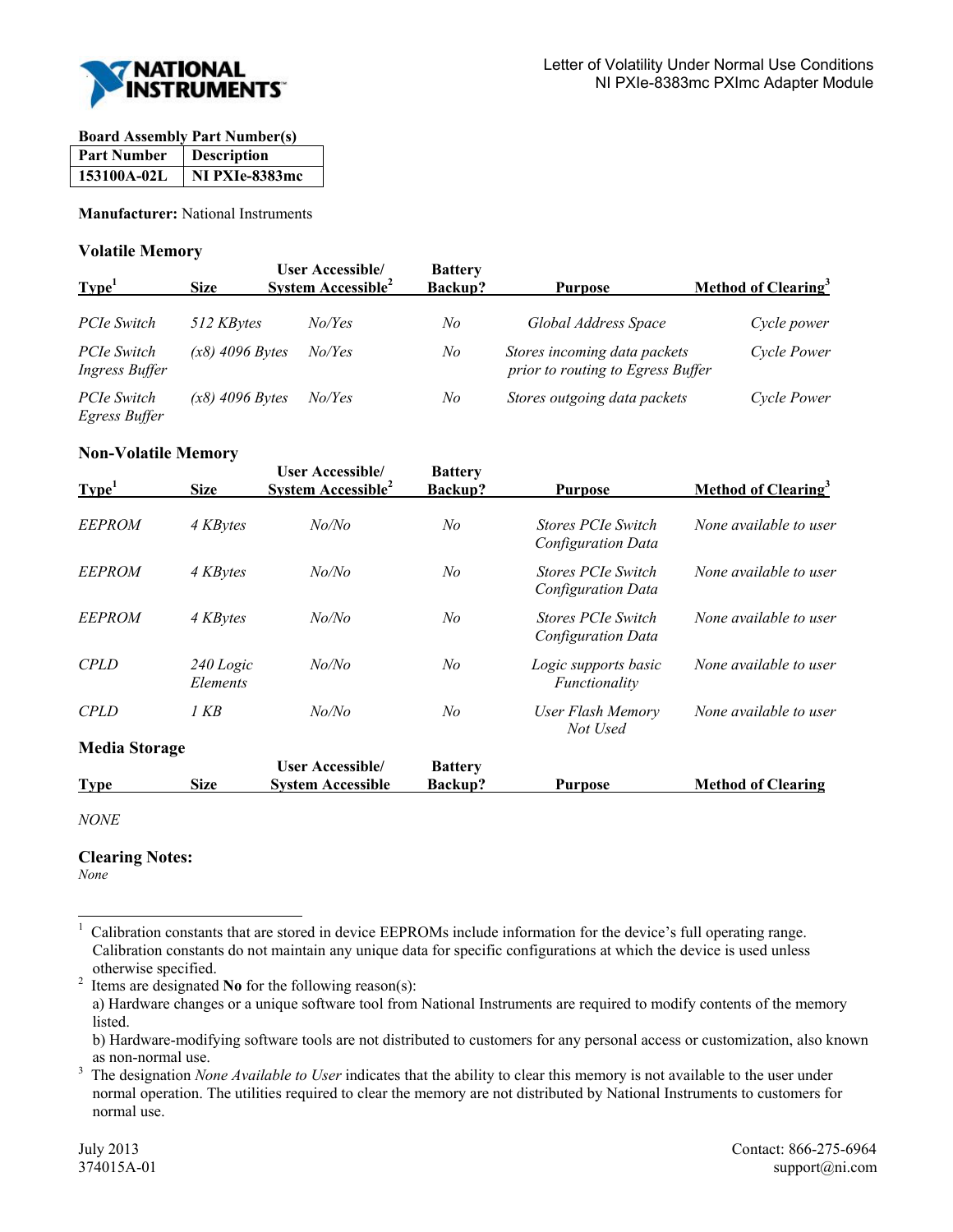

### **Board Assembly Part Number(s)**

| <b>Part Number</b> | <b>Description</b> |
|--------------------|--------------------|
| 153100A-02L        | NI PXIe-8383mc     |

**Manufacturer:** National Instruments

## **Volatile Memory**

| Type <sup>1</sup>                    | <b>Size</b>       | <b>User Accessible/</b><br>System Accessible <sup>2</sup> | <b>Battery</b><br>Backup? | <b>Purpose</b>                                                    | Method of Clearing <sup>3</sup> |
|--------------------------------------|-------------------|-----------------------------------------------------------|---------------------------|-------------------------------------------------------------------|---------------------------------|
| PCIe Switch                          | 512 KBytes        | No/Yes                                                    | No                        | Global Address Space                                              | Cycle power                     |
| PCIe Switch<br><b>Ingress Buffer</b> | $(x8)$ 4096 Bytes | No/Yes                                                    | No                        | Stores incoming data packets<br>prior to routing to Egress Buffer | Cycle Power                     |
| PCIe Switch<br>Egress Buffer         | $(x8)$ 4096 Bytes | No/Yes                                                    | No                        | Stores outgoing data packets                                      | Cycle Power                     |

# **Non-Volatile Memory**

| Type <sup>1</sup>    | <b>Size</b>           | <b>User Accessible/</b><br>System Accessible <sup>2</sup> | <b>Battery</b><br>Backup? | <b>Purpose</b>                                  | Method of Clearing <sup>3</sup> |
|----------------------|-----------------------|-----------------------------------------------------------|---------------------------|-------------------------------------------------|---------------------------------|
| <b>EEPROM</b>        | 4 KBytes              | No/No                                                     | No                        | <b>Stores PCIe Switch</b><br>Configuration Data | None available to user          |
| <b>EEPROM</b>        | 4 KBytes              | No/No                                                     | No                        | <b>Stores PCIe Switch</b><br>Configuration Data | None available to user          |
| <b>EEPROM</b>        | 4 KBytes              | No/No                                                     | N <sub>o</sub>            | <b>Stores PCIe Switch</b><br>Configuration Data | None available to user          |
| <b>CPLD</b>          | 240 Logic<br>Elements | No/No                                                     | No                        | Logic supports basic<br>Functionality           | None available to user          |
| <b>CPLD</b>          | 1 KB                  | No/No                                                     | No                        | User Flash Memory<br>Not Used                   | None available to user          |
| <b>Media Storage</b> |                       |                                                           |                           |                                                 |                                 |
|                      |                       | <b>User Accessible/</b>                                   | <b>Battery</b>            |                                                 |                                 |
| <b>Type</b>          | <b>Size</b>           | <b>System Accessible</b>                                  | Backup?                   | <b>Purpose</b>                                  | <b>Method of Clearing</b>       |

*NONE* 

# **Clearing Notes:**

*None*

l

 Items are designated **No** for the following reason(s): a) Hardware changes or a unique software tool from National Instruments are required to modify contents of the memory listed.

<sup>1</sup> Calibration constants that are stored in device EEPROMs include information for the device's full operating range. Calibration constants do not maintain any unique data for specific configurations at which the device is used unless otherwise specified.<br><sup>2</sup> Items are designated

b) Hardware-modifying software tools are not distributed to customers for any personal access or customization, also known as non-normal use.<br> $\frac{3}{7}$  The designation No

The designation *None Available to User* indicates that the ability to clear this memory is not available to the user under normal operation. The utilities required to clear the memory are not distributed by National Instruments to customers for normal use.